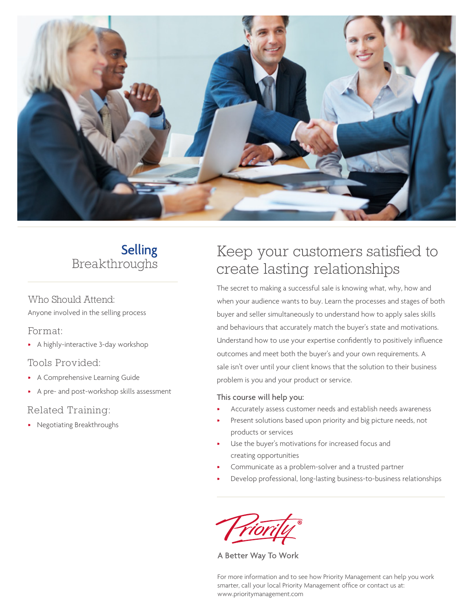

### **Selling** Breakthroughs

Who Should Attend: Anyone involved in the selling process

#### Format:

• A highly-interactive 3-day workshop

Tools Provided:

- A Comprehensive Learning Guide
- A pre- and post-workshop skills assessment

Related Training:

• Negotiating Breakthroughs

### Keep your customers satisfied to create lasting relationships

The secret to making a successful sale is knowing what, why, how and when your audience wants to buy. Learn the processes and stages of both buyer and seller simultaneously to understand how to apply sales skills and behaviours that accurately match the buyer's state and motivations. Understand how to use your expertise confidently to positively influence outcomes and meet both the buyer's and your own requirements. A sale isn't over until your client knows that the solution to their business problem is you and your product or service.

#### This course will help you:

- Accurately assess customer needs and establish needs awareness
- Present solutions based upon priority and big picture needs, not products or services
- Use the buyer's motivations for increased focus and creating opportunities
- Communicate as a problem-solver and a trusted partner
- Develop professional, long-lasting business-to-business relationships



A Better Way To Work

For more information and to see how Priority Management can help you work smarter, call your local Priority Management office or contact us at: www.prioritymanagement.com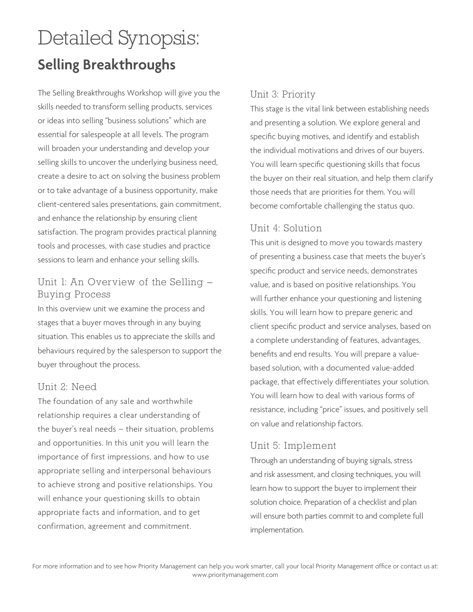# Detailed Synopsis: **Selling Breakthroughs**

The Selling Breakthroughs Workshop will give you the skills needed to transform selling products, services or ideas into selling "business solutions" which are essential for salespeople at all levels. The program will broaden your understanding and develop your selling skills to uncover the underlying business need, create a desire to act on solving the business problem or to take advantage of a business opportunity, make client-centered sales presentations, gain commitment, and enhance the relationship by ensuring client satisfaction. The program provides practical planning tools and processes, with case studies and practice sessions to learn and enhance your selling skills.

#### Unit 1: An Overview of the Selling – Buying Process

In this overview unit we examine the process and stages that a buyer moves through in any buying situation. This enables us to appreciate the skills and behaviours required by the salesperson to support the buyer throughout the process.

#### Unit 2: Need

The foundation of any sale and worthwhile relationship requires a clear understanding of the buyer's real needs – their situation, problems and opportunities. In this unit you will learn the importance of first impressions, and how to use appropriate selling and interpersonal behaviours to achieve strong and positive relationships. You will enhance your questioning skills to obtain appropriate facts and information, and to get confirmation, agreement and commitment.

#### Unit 3: Priority

This stage is the vital link between establishing needs and presenting a solution. We explore general and specific buying motives, and identify and establish the individual motivations and drives of our buyers. You will learn specific questioning skills that focus the buyer on their real situation, and help them clarify those needs that are priorities for them. You will become comfortable challenging the status quo.

#### Unit 4: Solution

This unit is designed to move you towards mastery of presenting a business case that meets the buyer's specific product and service needs, demonstrates value, and is based on positive relationships. You will further enhance your questioning and listening skills. You will learn how to prepare generic and client specific product and service analyses, based on a complete understanding of features, advantages, benefits and end results. You will prepare a valuebased solution, with a documented value-added package, that effectively differentiates your solution. You will learn how to deal with various forms of resistance, including "price" issues, and positively sell on value and relationship factors.

#### Unit 5: Implement

Through an understanding of buying signals, stress and risk assessment, and closing techniques, you will learn how to support the buyer to implement their solution choice. Preparation of a checklist and plan will ensure both parties commit to and complete full implementation.